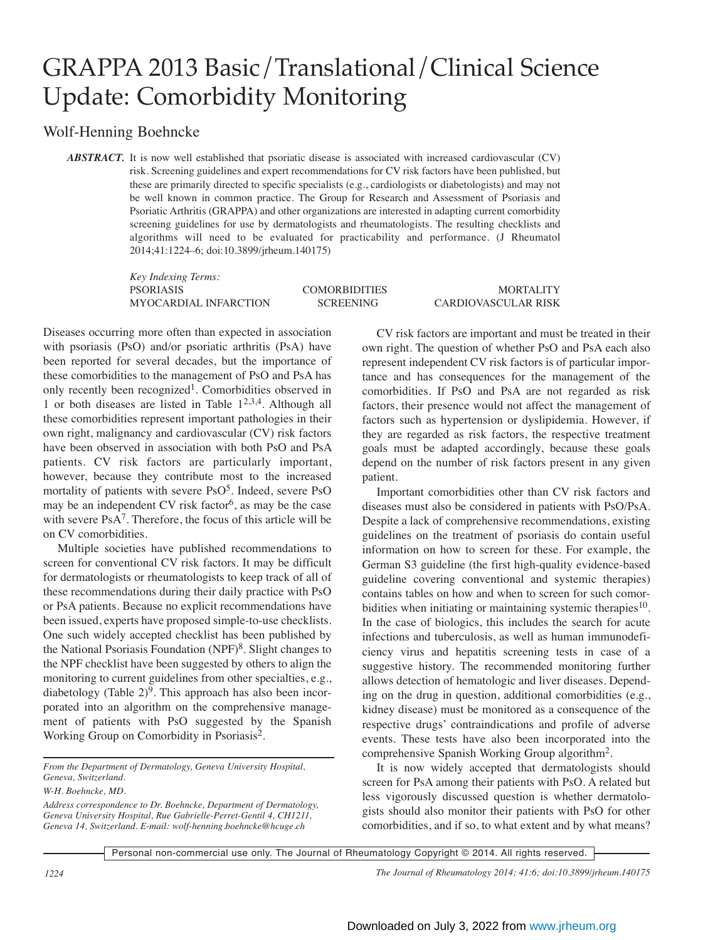## GRAPPA 2013 Basic/Translational/Clinical Science Update: Comorbidity Monitoring

## Wolf-Henning Boehncke

*ABSTRACT.* It is now well established that psoriatic disease is associated with increased cardiovascular (CV) risk. Screening guidelines and expert recommendations for CV risk factors have been published, but these are primarily directed to specific specialists (e.g., cardiologists or diabetologists) and may not be well known in common practice. The Group for Research and Assessment of Psoriasis and Psoriatic Arthritis (GRAPPA) and other organizations are interested in adapting current comorbidity screening guidelines for use by dermatologists and rheumatologists. The resulting checklists and algorithms will need to be evaluated for practicability and performance. (J Rheumatol 2014;41:1224–6; doi:10.3899/jrheum.140175)

> *Key Indexing Terms:* PSORIASIS COMORBIDITIES MORTALITY MYOCARDIAL INFARCTION SCREENING CARDIOVASCULAR RISK

Diseases occurring more often than expected in association with psoriasis (PsO) and/or psoriatic arthritis (PsA) have been reported for several decades, but the importance of these comorbidities to the management of PsO and PsA has only recently been recognized1. Comorbidities observed in 1 or both diseases are listed in Table  $1^{2,3,4}$ . Although all these comorbidities represent important pathologies in their own right, malignancy and cardiovascular (CV) risk factors have been observed in association with both PsO and PsA patients. CV risk factors are particularly important, however, because they contribute most to the increased mortality of patients with severe  $PsO<sup>5</sup>$ . Indeed, severe PsO may be an independent CV risk factor<sup>6</sup>, as may be the case with severe PsA<sup>7</sup>. Therefore, the focus of this article will be on CV comorbidities.

Multiple societies have published recommendations to screen for conventional CV risk factors. It may be difficult for dermatologists or rheumatologists to keep track of all of these recommendations during their daily practice with PsO or PsA patients. Because no explicit recommendations have been issued, experts have proposed simple-to-use checklists. One such widely accepted checklist has been published by the National Psoriasis Foundation (NPF)<sup>8</sup>. Slight changes to the NPF checklist have been suggested by others to align the monitoring to current guidelines from other specialties, e.g., diabetology (Table  $2)^9$ . This approach has also been incorporated into an algorithm on the comprehensive management of patients with PsO suggested by the Spanish Working Group on Comorbidity in Psoriasis2.

*From the Department of Dermatology, Geneva University Hospital, Geneva, Switzerland.* 

CV risk factors are important and must be treated in their own right. The question of whether PsO and PsA each also represent independent CV risk factors is of particular importance and has consequences for the management of the comorbidities. If PsO and PsA are not regarded as risk factors, their presence would not affect the management of factors such as hypertension or dyslipidemia. However, if they are regarded as risk factors, the respective treatment goals must be adapted accordingly, because these goals depend on the number of risk factors present in any given patient.

Important comorbidities other than CV risk factors and diseases must also be considered in patients with PsO/PsA. Despite a lack of comprehensive recommendations, existing guidelines on the treatment of psoriasis do contain useful information on how to screen for these. For example, the German S3 guideline (the first high-quality evidence-based guideline covering conventional and systemic therapies) contains tables on how and when to screen for such comorbidities when initiating or maintaining systemic therapies<sup>10</sup>. In the case of biologics, this includes the search for acute infections and tuberculosis, as well as human immunodeficiency virus and hepatitis screening tests in case of a suggestive history. The recommended monitoring further allows detection of hematologic and liver diseases. Depending on the drug in question, additional comorbidities (e.g., kidney disease) must be monitored as a consequence of the respective drugs' contraindications and profile of adverse events. These tests have also been incorporated into the comprehensive Spanish Working Group algorithm2.

It is now widely accepted that dermatologists should screen for PsA among their patients with PsO. A related but less vigorously discussed question is whether dermatologists should also monitor their patients with PsO for other comorbidities, and if so, to what extent and by what means?

Personal non-commercial use only. The Journal of Rheumatology Copyright © 2014. All rights reserved.

*1224 The Journal of Rheumatology 2014; 41:6; doi:10.3899/jrheum.140175*

*W-H. Boehncke, MD.* 

*Address correspondence to Dr. Boehncke, Department of Dermatology, Geneva University Hospital, Rue Gabrielle-Perret-Gentil 4, CH1211, Geneva 14, Switzerland. E-mail: wolf-henning.boehncke@hcuge.ch*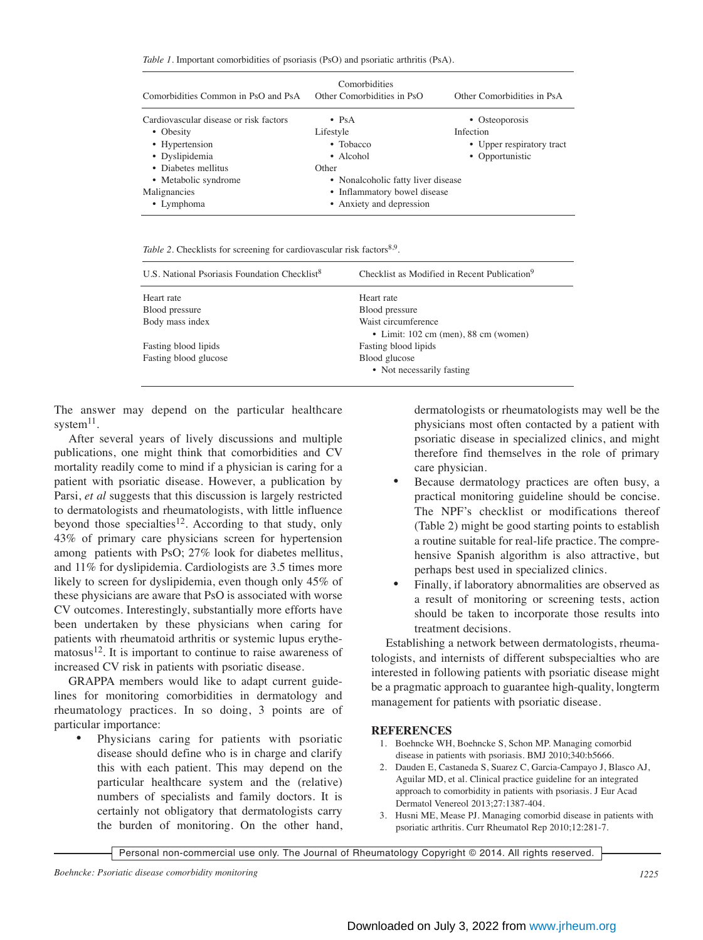*Table 1*. Important comorbidities of psoriasis (PsO) and psoriatic arthritis (PsA).

| Comorbidities Common in PsO and PsA    | Comorbidities<br>Other Comorbidities in PsO | Other Comorbidities in PsA |
|----------------------------------------|---------------------------------------------|----------------------------|
| Cardiovascular disease or risk factors | $\bullet$ PsA                               | • Osteoporosis             |
| • Obesity                              | Lifestyle                                   | Infection                  |
| • Hypertension                         | $\bullet$ Tobacco                           | • Upper respiratory tract  |
| • Dyslipidemia                         | • Alcohol                                   | • Opportunistic            |
| • Diabetes mellitus                    | Other                                       |                            |
| • Metabolic syndrome                   | • Nonalcoholic fatty liver disease          |                            |
| Malignancies                           | • Inflammatory bowel disease                |                            |
| • Lymphoma                             | • Anxiety and depression                    |                            |

*Table 2.* Checklists for screening for cardiovascular risk factors<sup>8,9</sup>.

| U.S. National Psoriasis Foundation Checklist <sup>8</sup> | Checklist as Modified in Recent Publication <sup>9</sup>            |
|-----------------------------------------------------------|---------------------------------------------------------------------|
| Heart rate                                                | Heart rate                                                          |
| Blood pressure                                            | Blood pressure                                                      |
| Body mass index                                           | Waist circumference<br>$\bullet$ Limit: 102 cm (men), 88 cm (women) |
| Fasting blood lipids                                      | Fasting blood lipids                                                |
| Fasting blood glucose                                     | Blood glucose<br>• Not necessarily fasting                          |

The answer may depend on the particular healthcare system $^{11}$ .

After several years of lively discussions and multiple publications, one might think that comorbidities and CV mortality readily come to mind if a physician is caring for a patient with psoriatic disease. However, a publication by Parsi, *et al* suggests that this discussion is largely restricted to dermatologists and rheumatologists, with little influence beyond those specialties<sup>12</sup>. According to that study, only 43% of primary care physicians screen for hypertension among patients with PsO; 27% look for diabetes mellitus, and 11% for dyslipidemia. Cardiologists are 3.5 times more likely to screen for dyslipidemia, even though only 45% of these physicians are aware that PsO is associated with worse CV outcomes. Interestingly, substantially more efforts have been undertaken by these physicians when caring for patients with rheumatoid arthritis or systemic lupus erythematosus<sup>12</sup>. It is important to continue to raise awareness of increased CV risk in patients with psoriatic disease.

GRAPPA members would like to adapt current guidelines for monitoring comorbidities in dermatology and rheumatology practices. In so doing, 3 points are of particular importance:

• Physicians caring for patients with psoriatic disease should define who is in charge and clarify this with each patient. This may depend on the particular healthcare system and the (relative) numbers of specialists and family doctors. It is certainly not obligatory that dermatologists carry the burden of monitoring. On the other hand,

dermatologists or rheumatologists may well be the physicians most often contacted by a patient with psoriatic disease in specialized clinics, and might therefore find themselves in the role of primary care physician.

- Because dermatology practices are often busy, a practical monitoring guideline should be concise. The NPF's checklist or modifications thereof (Table 2) might be good starting points to establish a routine suitable for real-life practice. The comprehensive Spanish algorithm is also attractive, but perhaps best used in specialized clinics.
- Finally, if laboratory abnormalities are observed as a result of monitoring or screening tests, action should be taken to incorporate those results into treatment decisions.

Establishing a network between dermatologists, rheumatologists, and internists of different subspecialties who are interested in following patients with psoriatic disease might be a pragmatic approach to guarantee high-quality, longterm management for patients with psoriatic disease.

## **REFERENCES**

- 1. Boehncke WH, Boehncke S, Schon MP. Managing comorbid disease in patients with psoriasis. BMJ 2010;340:b5666.
- 2. Dauden E, Castaneda S, Suarez C, Garcia-Campayo J, Blasco AJ, Aguilar MD, et al. Clinical practice guideline for an integrated approach to comorbidity in patients with psoriasis. J Eur Acad Dermatol Venereol 2013;27:1387-404.
- 3. Husni ME, Mease PJ. Managing comorbid disease in patients with psoriatic arthritis. Curr Rheumatol Rep 2010;12:281-7.

Personal non-commercial use only. The Journal of Rheumatology Copyright © 2014. All rights reserved.